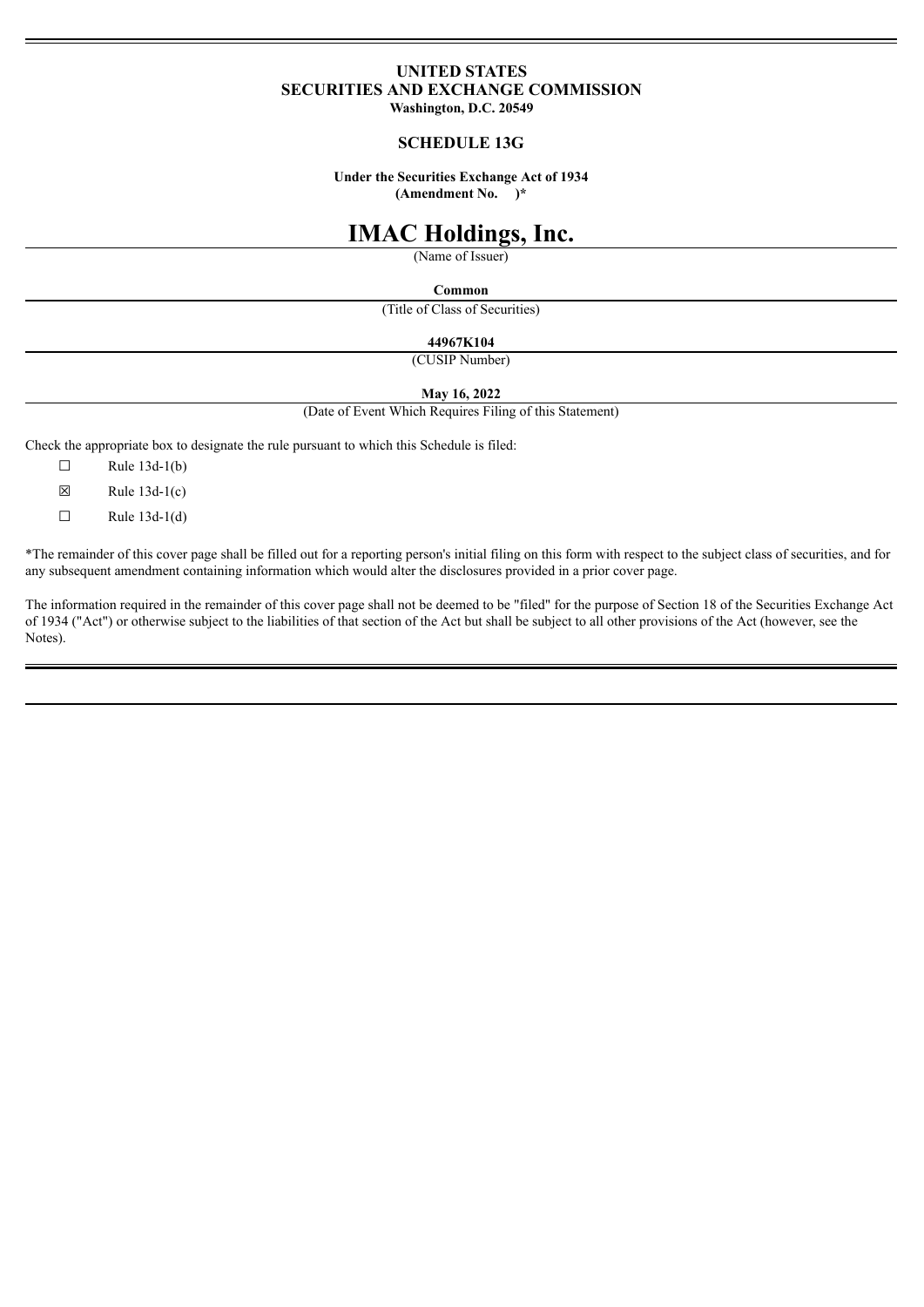## **UNITED STATES SECURITIES AND EXCHANGE COMMISSION**

**Washington, D.C. 20549**

#### **SCHEDULE 13G**

**Under the Securities Exchange Act of 1934 (Amendment No. )\***

# **IMAC Holdings, Inc.**

(Name of Issuer)

#### **Common**

(Title of Class of Securities)

#### **44967K104**

(CUSIP Number)

#### **May 16, 2022**

(Date of Event Which Requires Filing of this Statement)

Check the appropriate box to designate the rule pursuant to which this Schedule is filed:

- $\Box$  Rule 13d-1(b)
- $\boxtimes$  Rule 13d-1(c)
- $\Box$  Rule 13d-1(d)

\*The remainder of this cover page shall be filled out for a reporting person's initial filing on this form with respect to the subject class of securities, and for any subsequent amendment containing information which would alter the disclosures provided in a prior cover page.

The information required in the remainder of this cover page shall not be deemed to be "filed" for the purpose of Section 18 of the Securities Exchange Act of 1934 ("Act") or otherwise subject to the liabilities of that section of the Act but shall be subject to all other provisions of the Act (however, see the Notes).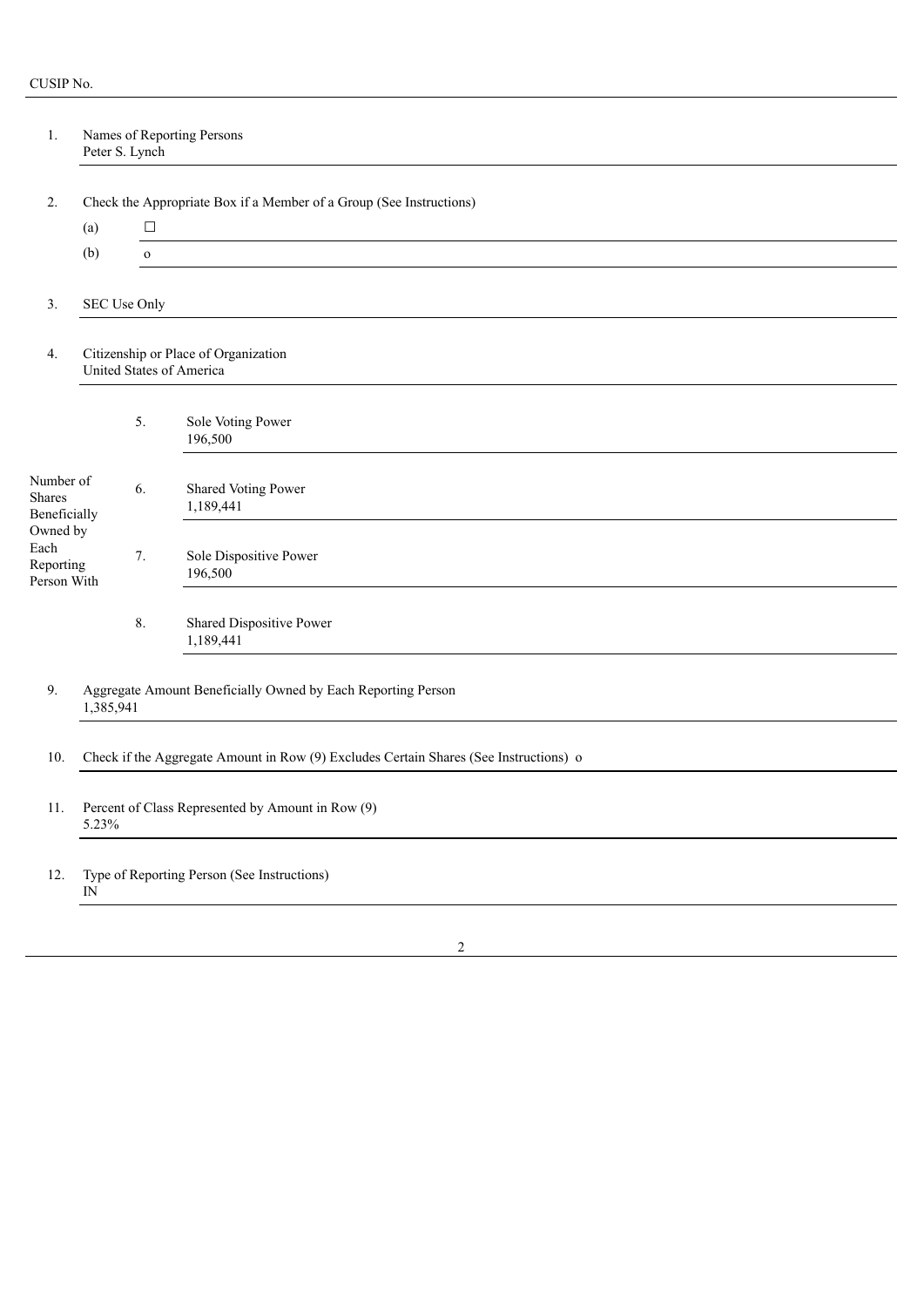| 1.                                           | Names of Reporting Persons<br>Peter S. Lynch                                          |              |                                                                     |  |  |  |
|----------------------------------------------|---------------------------------------------------------------------------------------|--------------|---------------------------------------------------------------------|--|--|--|
| 2.                                           |                                                                                       |              | Check the Appropriate Box if a Member of a Group (See Instructions) |  |  |  |
|                                              | (a)                                                                                   | $\Box$       |                                                                     |  |  |  |
|                                              | (b)                                                                                   | $\mathbf{o}$ |                                                                     |  |  |  |
| 3.                                           |                                                                                       | SEC Use Only |                                                                     |  |  |  |
| 4.                                           | Citizenship or Place of Organization<br>United States of America                      |              |                                                                     |  |  |  |
|                                              |                                                                                       | 5.           | Sole Voting Power<br>196,500                                        |  |  |  |
| Number of<br>Shares<br>Beneficially          |                                                                                       | 6.           | <b>Shared Voting Power</b><br>1,189,441                             |  |  |  |
| Owned by<br>Each<br>Reporting<br>Person With |                                                                                       | 7.           | Sole Dispositive Power<br>196,500                                   |  |  |  |
|                                              |                                                                                       | 8.           | Shared Dispositive Power<br>1,189,441                               |  |  |  |
| 9.                                           | Aggregate Amount Beneficially Owned by Each Reporting Person<br>1,385,941             |              |                                                                     |  |  |  |
| 10.                                          | Check if the Aggregate Amount in Row (9) Excludes Certain Shares (See Instructions) o |              |                                                                     |  |  |  |
| 11.                                          | Percent of Class Represented by Amount in Row (9)<br>5.23%                            |              |                                                                     |  |  |  |
| 12.                                          | Type of Reporting Person (See Instructions)<br>$\hbox{IN}$                            |              |                                                                     |  |  |  |
|                                              |                                                                                       |              |                                                                     |  |  |  |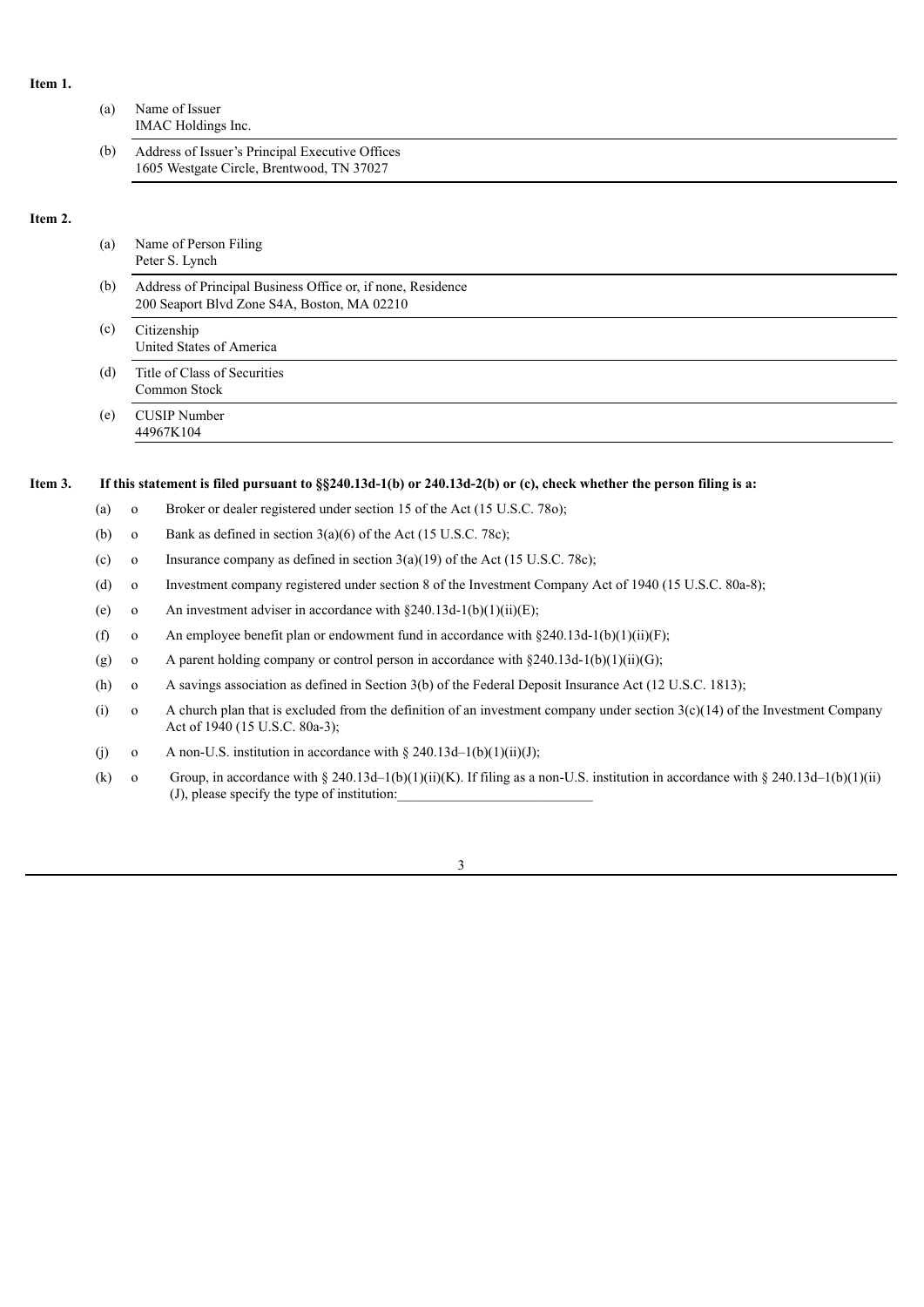## **Item 1.**

| (a) | Name of Issuer<br>IMAC Holdings Inc.                                                         |  |  |  |  |  |
|-----|----------------------------------------------------------------------------------------------|--|--|--|--|--|
| (b) | Address of Issuer's Principal Executive Offices<br>1605 Westgate Circle, Brentwood, TN 37027 |  |  |  |  |  |
|     |                                                                                              |  |  |  |  |  |

## **Item 2.**

| (a) | Name of Person Filing<br>Peter S. Lynch                                                                    |  |  |  |
|-----|------------------------------------------------------------------------------------------------------------|--|--|--|
| (b) | Address of Principal Business Office or, if none, Residence<br>200 Seaport Blvd Zone S4A, Boston, MA 02210 |  |  |  |
| (c) | Citizenship<br>United States of America                                                                    |  |  |  |
| (d) | Title of Class of Securities<br>Common Stock                                                               |  |  |  |
| (e) | CUSIP Number<br>44967K104                                                                                  |  |  |  |
|     |                                                                                                            |  |  |  |

## Item 3. If this statement is filed pursuant to §§240.13d-1(b) or 240.13d-2(b) or (c), check whether the person filing is a:

- (a) o Broker or dealer registered under section 15 of the Act (15 U.S.C. 78o);
- (b) o Bank as defined in section  $3(a)(6)$  of the Act (15 U.S.C. 78c);
- (c) o Insurance company as defined in section  $3(a)(19)$  of the Act (15 U.S.C. 78c);
- (d) o Investment company registered under section 8 of the Investment Company Act of 1940 (15 U.S.C. 80a-8);
- (e) o An investment adviser in accordance with  $\S 240.13d-1(b)(1)(ii)(E)$ ;
- (f) o An employee benefit plan or endowment fund in accordance with  $\S 240.13d-1(b)(1)(ii)(F)$ ;
- (g) o A parent holding company or control person in accordance with  $\S 240.13d-1(b)(1)(ii)(G)$ ;
- (h) o A savings association as defined in Section 3(b) of the Federal Deposit Insurance Act (12 U.S.C. 1813);
- (i) o A church plan that is excluded from the definition of an investment company under section  $3(c)(14)$  of the Investment Company Act of 1940 (15 U.S.C. 80a-3);
- (j) o A non-U.S. institution in accordance with  $\S 240.13d-1(b)(1)(ii)(J);$
- (k) o Group, in accordance with § 240.13d–1(b)(1)(ii)(K). If filing as a non-U.S. institution in accordance with § 240.13d–1(b)(1)(ii)  $(J)$ , please specify the type of institution:

3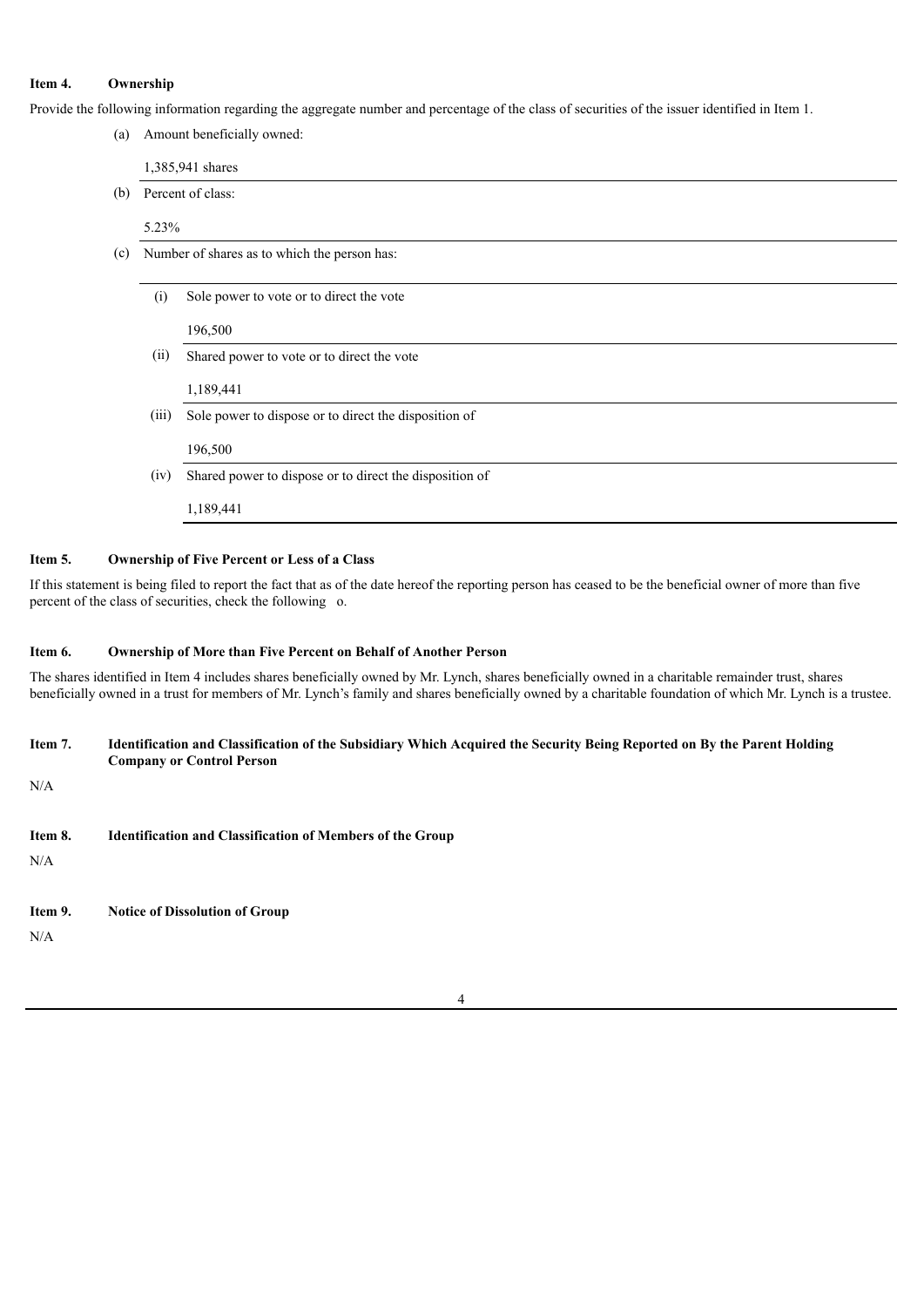### **Item 4. Ownership**

Provide the following information regarding the aggregate number and percentage of the class of securities of the issuer identified in Item 1.

| (a) |       | Amount beneficially owned:                              |  |  |  |  |
|-----|-------|---------------------------------------------------------|--|--|--|--|
|     |       | 1,385,941 shares                                        |  |  |  |  |
| (b) |       | Percent of class:                                       |  |  |  |  |
|     | 5.23% |                                                         |  |  |  |  |
| (c) |       | Number of shares as to which the person has:            |  |  |  |  |
|     | (i)   | Sole power to vote or to direct the vote                |  |  |  |  |
|     |       |                                                         |  |  |  |  |
|     |       | 196,500                                                 |  |  |  |  |
|     | (ii)  | Shared power to vote or to direct the vote              |  |  |  |  |
|     |       | 1,189,441                                               |  |  |  |  |
|     | (111) | Sole power to dispose or to direct the disposition of   |  |  |  |  |
|     |       | 196,500                                                 |  |  |  |  |
|     | (iv)  | Shared power to dispose or to direct the disposition of |  |  |  |  |
|     |       | 1,189,441                                               |  |  |  |  |
|     |       |                                                         |  |  |  |  |

#### **Item 5. Ownership of Five Percent or Less of a Class**

If this statement is being filed to report the fact that as of the date hereof the reporting person has ceased to be the beneficial owner of more than five percent of the class of securities, check the following o.

#### **Item 6. Ownership of More than Five Percent on Behalf of Another Person**

The shares identified in Item 4 includes shares beneficially owned by Mr. Lynch, shares beneficially owned in a charitable remainder trust, shares beneficially owned in a trust for members of Mr. Lynch's family and shares beneficially owned by a charitable foundation of which Mr. Lynch is a trustee.

#### Item 7. Identification and Classification of the Subsidiary Which Acquired the Security Being Reported on By the Parent Holding **Company or Control Person**

N/A

**Item 8. Identification and Classification of Members of the Group**

N/A

### **Item 9. Notice of Dissolution of Group**

N/A

#### 4